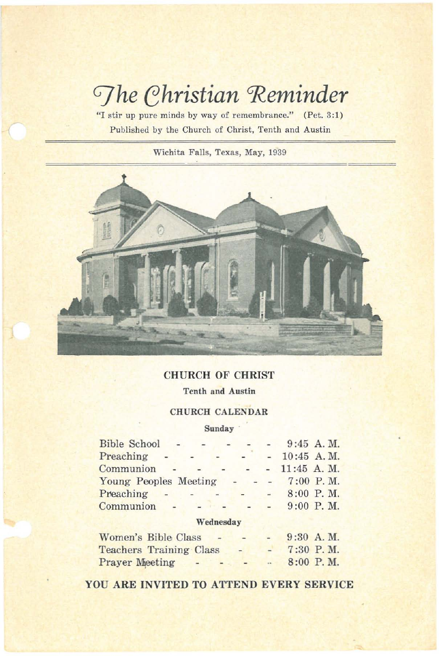# *Ghristian* Reminder

"I stir up pure minds by way of remembrance." (Pet. 3:1) Published by the Church of Christ, Tenth and Austin

Wichita Falls, Texas, May, 1939



# CHURCH OF CHRIST

Tenth and Austin

### CHURCH CALENDAR

Sunday'

| <b>Bible School</b>        |           |        |               |               | $9:45$ A.M. |
|----------------------------|-----------|--------|---------------|---------------|-------------|
| Preaching                  |           |        |               | $-10:45$ A.M. |             |
| Communion                  |           |        |               | $-11:45$ A.M. |             |
| Young Peoples Meeting      |           |        |               | $  7:00$ P.M. |             |
| Preaching                  |           | $\sim$ | $\frac{1}{2}$ |               | 8:00 P.M.   |
| Communion                  |           |        |               |               | 9:00 P.M.   |
|                            | Wednesday |        |               |               |             |
| <b>Women's Bible Class</b> |           |        |               |               | $9:30$ A.M. |

| <b>Teachers Training Class</b> |  |  | 7:30 P.M. |
|--------------------------------|--|--|-----------|
| <b>Prayer Meeting</b>          |  |  | 8:00 P.M. |

YOU ARE INVITED TO ATTEND EVERY SERVICE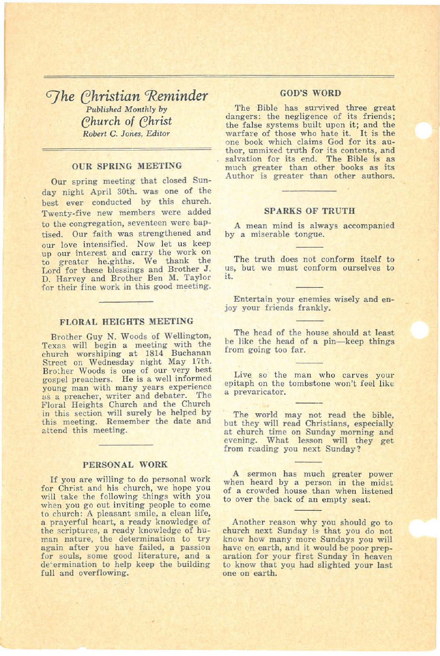*G]he (;hristian 'Reminder Published Monthly by* Church of Christ *Robert* C. *Jones, Editor*

#### OUR SPRING MEETING

Our spring meeting that closed Sunday night April 30th. was one of the best ever conducted by this church. Twenty-five new members were added to the congregation, seventeen were baptised. Our faith was strengthened and our love intensified. Now let us keep<br>up our interest and carry the work on to greater he.ghths. We thank the Lord for these blessings and Brother J. D. Harvey and Brother Ben M. Taylor for their fine work in this good meeting.

#### FLORAL HEIGHTS MEETING

Brother Guy N. Woods of Wellington, Texas will begin a meeting with the church worshiping at 1814 Buchanan Street on Wednesday night May 17th. Brother Woods is one of our very best gospel preachers. He is a well informed young man with many years experience as a preacher, writer and debater. The Floral Heights Church and the Church in this section will surely be helped by this meeting. Remember the date and attend this meeting.

#### PERSONAL WORK

If you are willing to do personal work for Christ and his church, we hope you will take the following things with you<br>when you go out inviting people to come to church: A pleasant smile, a clean life, a prayerful heart, a ready knowledge of the scriptures, a ready knowledge of hu-<br>man nature, the determination to try again after you have failed, a passion for souls, some good literature, and a determination to help keep the building full and overflowing.

#### GOD'S WORD

The Bible has survived three great dangers: the negligence of its friends; the false systems built upon it; and the warfare of those who hate it. It is the one book which claims God for its author, unmixed truth for its contents, and much greater than other books as its Author is greater than other authors.

#### SPARKS OF TRUTH

A mean mind is always accompanied by a miserable tongue.

The truth does not conform itself to us, but we must conform ourselves to it.

Entertain your enemies wisely and en- joy your friends frankly.

The head of the house should at least be like the head of a pin-keep things from going too far.

Live so the man who carves your epitaph on the tombstone won't feel like<br>a prevaricator.

The world may not read the bible, but they will read Christians, especially at church time on Sunday morning and evening. What lesson will they get from reading you next Sunday?

A sermon has much greater power when heard by a person in the midst of a crowded house than when listened to over the back of an empty seat.

Another reason why you should go to church next Sunday is' that you do not know how many more Sundays you will have on earth, and it would be poor preparation for your first Sunday in heaven to know that you had slighted your last one on earth.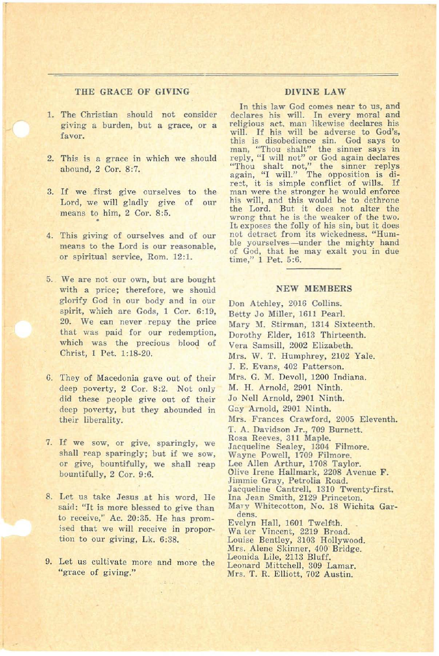#### THE GRACE OF GIVING DIVINE LAW

T

- 1. The Christian should not consider giving a burden, but a grace, or a favor.
- 2. This is a grace in which we should abound, 2 Cor. 8:7.
- 3. If we first give ourselves to the Lord, we will gladly give of means to him, 2 Cor. 8:5. our<sub></sub>
- 4. This giving of ourselves and of our means to the Lord is our reasonable. or spiritual service, Rom. 12:1.
- 5. We are not our own, but are bought with a price; therefore, we should glorify God in our body and in our spirit, which are Gods, 1 Cor. 6:19, 20. We can never repay the price that was paid for our redemption, which was the precious blood of Christ, 1 Pet. 1:18-20.
- G. They of Macedonia gave out of their deep poverty, 2 Cor. 8:2. Not only did these people give out of their deep poverty, but they abounded in their liberality.
- 7. If we sow, or give, sparingly, we shall reap sparingly; but if we sow, or give, bountifully, we shall reap bountifully, 2 Cor. 9:6.
- 8. Let us take Jesus at his word, He said: "It is more blessed to give than to receive," Ac. 20:35. He has prom ised that we will receive in proportion to our giving, Lk. 6:38.
- 9. Let us cultivate more and more the "grace of giving."

In this law God comes near to us, and declares his will. In every moral and religious aet. man likewise declares his will. If his will be adverse to God's, this is disobedience sin. God says to man, "Thou shalt" the sinner says in reply, "I will not" or God again declares "Thou shalt not," the sinner replys<br>again, "I will." The opposition is di-<br>rect, it is simple conflict of wills. If man were the stronger he would enforce his will, and this would be to dethrone the Lord. But it does not alter the wrong that he is the weaker of the two. It exposes the folly of his sin, but it does not. detract from its wickedness. "Humble yourselves-under the mighty hand of God, that he may exalt you in due time," 1 Pet. 5:6.

#### NEW MEMBERS

Don Atchley, 2016 Collins. Betty Jo Miller, 1611 Pearl. Mary M. Stirman, 1314 Sixteenth. Dorothy Elder, 1613 Thirteenth. Vera Samsill, 2002 Elizabeth. Mrs. W. T. Humphrey, 2102 Yale. J. E. Evans, 402 Patterson. Mrs. G. M. Devoll, 1200 Indiana. M. H. Arnold, 2901 Ninth. Jo Nell Arnold, 2901 Ninth. Gay Arnold, 2901 Ninth. Mrs. Frances Crawford, 2005 Eleventh. T. A. Davidson Jr., 709 Burnett. Rosa Reeves, 311 Maple. Jacqueline Sealey, 1304 Filmore. Wayne Powell, 1709 Filmore. Lee Allen Arthur, 1708 Taylor. Olive Irene Hallmark, 2208 Avenue F. Jimmie Gray, Petrolia Road. Jacqueline Cantrell, 1310 Twenty·first. Ina Jean Smith, 2129 Princeton. Mary Whitecotton, No. 18 Wichita Gardens. Evelyn Hall, 1601 Twelfth. Wa ter Vincent, 2219 Broad. Louise Bentley, 3103 Hollywood. Mrs. Alene Skinner, 400 Bridge. Leonida Lile, 2113 Bluff. Leonard Mittchell, 309 Lamar.

Mrs. T. R. Elliott, 702 Austin.